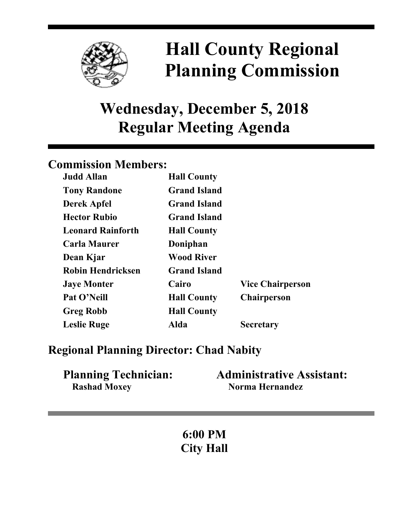

# **Hall County Regional Planning Commission**

## **Wednesday, December 5, 2018 Regular Meeting Agenda**

## **Commission Members:**

| <b>Judd Allan</b>        | <b>Hall County</b>  |                         |
|--------------------------|---------------------|-------------------------|
| <b>Tony Randone</b>      | <b>Grand Island</b> |                         |
| <b>Derek Apfel</b>       | <b>Grand Island</b> |                         |
| <b>Hector Rubio</b>      | <b>Grand Island</b> |                         |
| <b>Leonard Rainforth</b> | <b>Hall County</b>  |                         |
| <b>Carla Maurer</b>      | Doniphan            |                         |
| Dean Kjar                | <b>Wood River</b>   |                         |
| <b>Robin Hendricksen</b> | <b>Grand Island</b> |                         |
| <b>Jaye Monter</b>       | Cairo               | <b>Vice Chairperson</b> |
| Pat O'Neill              | <b>Hall County</b>  | <b>Chairperson</b>      |
| <b>Greg Robb</b>         | <b>Hall County</b>  |                         |
| <b>Leslie Ruge</b>       | Alda                | <b>Secretary</b>        |

### **Regional Planning Director: Chad Nabity**

| <b>Planning Technician:</b> | <b>Administrative Assistant:</b> |
|-----------------------------|----------------------------------|
| <b>Rashad Moxey</b>         | Norma Hernandez                  |

**6:00 PM City Hall**